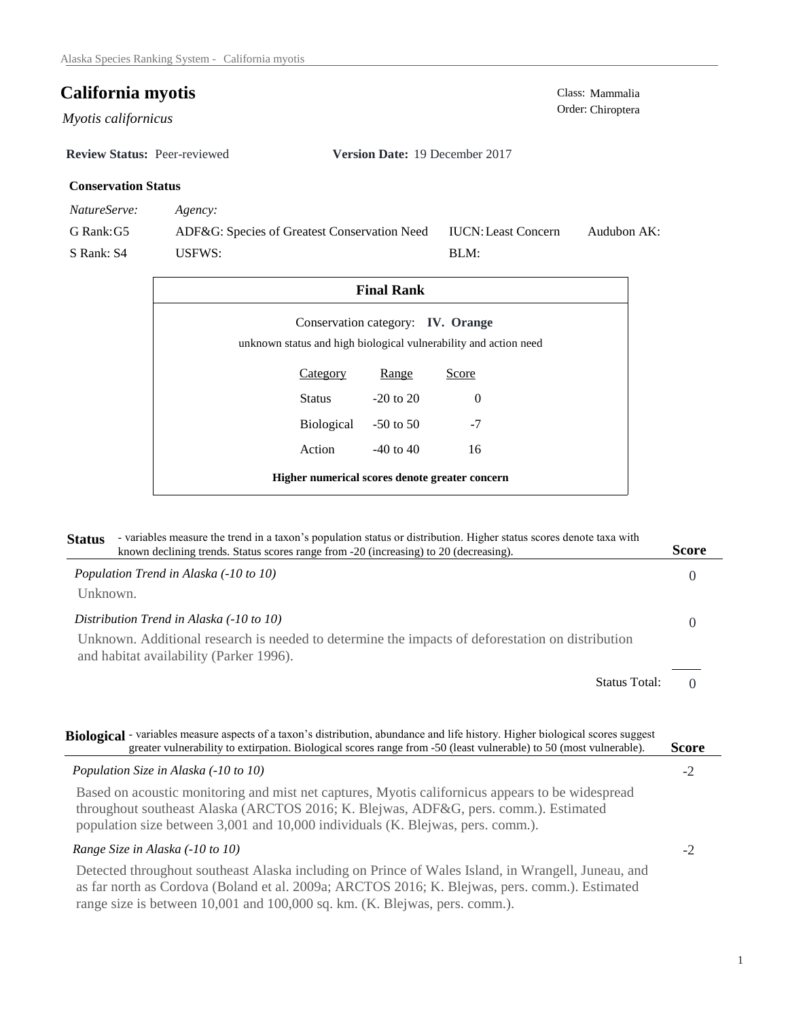Order: Chiroptera *Myotis californicus* 

**Review Status:** Peer-reviewed **Version Date:** 19 December 2017

# **Conservation Status**

*NatureServe: Agency:*

G Rank:G5 S Rank: S4 ADF&G: Species of Greatest Conservation Need USFWS: Audubon AK: BLM: IUCN:Least Concern

| <b>Final Rank</b>                              |                      |                                   |                                                                  |  |  |
|------------------------------------------------|----------------------|-----------------------------------|------------------------------------------------------------------|--|--|
|                                                |                      | Conservation category: IV. Orange | unknown status and high biological vulnerability and action need |  |  |
|                                                | Category             | Range                             | Score                                                            |  |  |
|                                                | Status               | $-20$ to $20$                     | $\Omega$                                                         |  |  |
|                                                | Biological -50 to 50 |                                   | $-7$                                                             |  |  |
|                                                | Action               | $-40$ to $40$                     | 16                                                               |  |  |
| Higher numerical scores denote greater concern |                      |                                   |                                                                  |  |  |

| - variables measure the trend in a taxon's population status or distribution. Higher status scores denote taxa with<br><b>Status</b><br>known declining trends. Status scores range from -20 (increasing) to 20 (decreasing).                                               | <b>Score</b> |
|-----------------------------------------------------------------------------------------------------------------------------------------------------------------------------------------------------------------------------------------------------------------------------|--------------|
| Population Trend in Alaska (-10 to 10)                                                                                                                                                                                                                                      | $\Omega$     |
| Unknown.                                                                                                                                                                                                                                                                    |              |
| Distribution Trend in Alaska (-10 to 10)                                                                                                                                                                                                                                    | $\Omega$     |
| Unknown. Additional research is needed to determine the impacts of deforestation on distribution<br>and habitat availability (Parker 1996).                                                                                                                                 |              |
| <b>Status Total:</b>                                                                                                                                                                                                                                                        | $\Omega$     |
|                                                                                                                                                                                                                                                                             |              |
| Biological - variables measure aspects of a taxon's distribution, abundance and life history. Higher biological scores suggest<br>greater vulnerability to extirpation. Biological scores range from -50 (least vulnerable) to 50 (most vulnerable).                        | <b>Score</b> |
| Population Size in Alaska (-10 to 10)                                                                                                                                                                                                                                       | $-2$         |
| Based on acoustic monitoring and mist net captures, Myotis californicus appears to be widespread<br>throughout southeast Alaska (ARCTOS 2016; K. Blejwas, ADF&G, pers. comm.). Estimated<br>population size between 3,001 and 10,000 individuals (K. Blejwas, pers. comm.). |              |
| Range Size in Alaska (-10 to 10)                                                                                                                                                                                                                                            | $-2$         |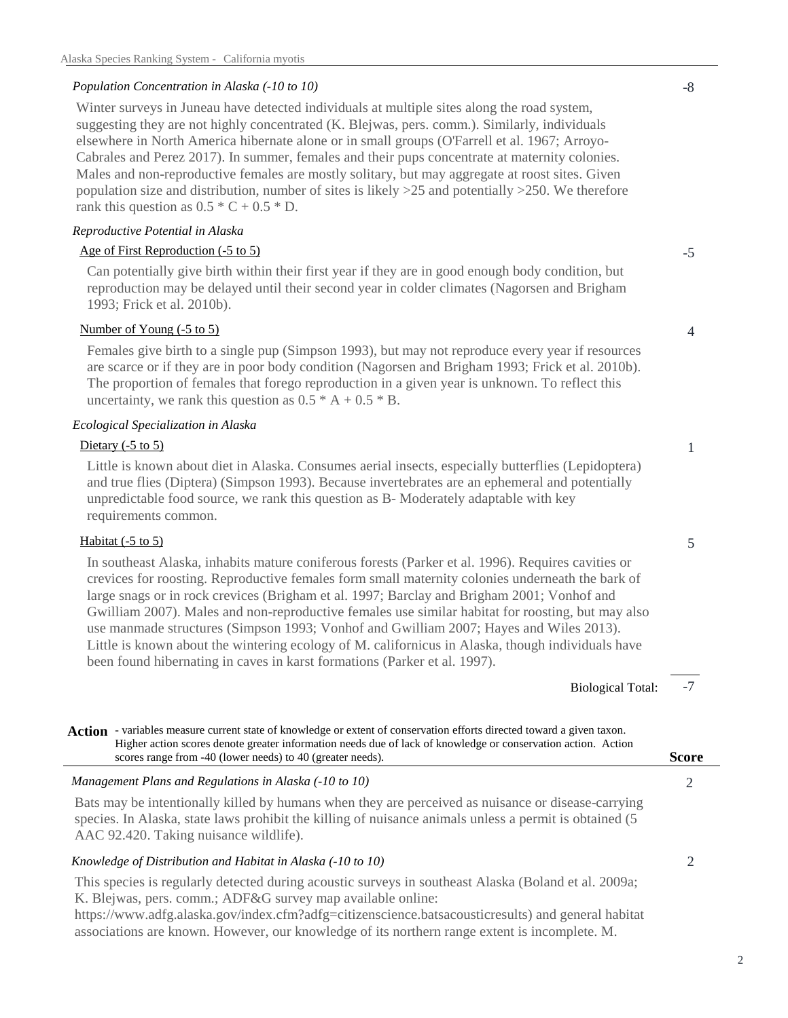# *Population Concentration in Alaska (-10 to 10)*

Winter surveys in Juneau have detected individuals at multiple sites along the road system, suggesting they are not highly concentrated (K. Blejwas, pers. comm.). Similarly, individuals elsewhere in North America hibernate alone or in small groups (O'Farrell et al. 1967; Arroyo-Cabrales and Perez 2017). In summer, females and their pups concentrate at maternity colonies. Males and non-reproductive females are mostly solitary, but may aggregate at roost sites. Given population size and distribution, number of sites is likely >25 and potentially >250. We therefore rank this question as  $0.5 * C + 0.5 * D$ .

#### *Reproductive Potential in Alaska*

# Age of First Reproduction (-5 to 5)

Can potentially give birth within their first year if they are in good enough body condition, but reproduction may be delayed until their second year in colder climates (Nagorsen and Brigham 1993; Frick et al. 2010b).

#### Number of Young (-5 to 5)

Females give birth to a single pup (Simpson 1993), but may not reproduce every year if resources are scarce or if they are in poor body condition (Nagorsen and Brigham 1993; Frick et al. 2010b). The proportion of females that forego reproduction in a given year is unknown. To reflect this uncertainty, we rank this question as  $0.5 * A + 0.5 * B$ .

#### *Ecological Specialization in Alaska*

# Dietary  $(-5 \text{ to } 5)$

Little is known about diet in Alaska. Consumes aerial insects, especially butterflies (Lepidoptera) and true flies (Diptera) (Simpson 1993). Because invertebrates are an ephemeral and potentially unpredictable food source, we rank this question as B- Moderately adaptable with key requirements common.

# Habitat  $(-5 \text{ to } 5)$

In southeast Alaska, inhabits mature coniferous forests (Parker et al. 1996). Requires cavities or crevices for roosting. Reproductive females form small maternity colonies underneath the bark of large snags or in rock crevices (Brigham et al. 1997; Barclay and Brigham 2001; Vonhof and Gwilliam 2007). Males and non-reproductive females use similar habitat for roosting, but may also use manmade structures (Simpson 1993; Vonhof and Gwilliam 2007; Hayes and Wiles 2013). Little is known about the wintering ecology of M. californicus in Alaska, though individuals have been found hibernating in caves in karst formations (Parker et al. 1997).

> -7 Biological Total:

*Management Plans and Regulations in Alaska (-10 to 10)* Bats may be intentionally killed by humans when they are perceived as nuisance or disease-carrying species. In Alaska, state laws prohibit the killing of nuisance animals unless a permit is obtained (5 Action - variables measure current state of knowledge or extent of conservation efforts directed toward a given taxon. **Score** Higher action scores denote greater information needs due of lack of knowledge or conservation action. Action scores range from -40 (lower needs) to 40 (greater needs).

AAC 92.420. Taking nuisance wildlife).

# *Knowledge of Distribution and Habitat in Alaska (-10 to 10)*

This species is regularly detected during acoustic surveys in southeast Alaska (Boland et al. 2009a; K. Blejwas, pers. comm.; ADF&G survey map available online:

https://www.adfg.alaska.gov/index.cfm?adfg=citizenscience.batsacousticresults) and general habitat associations are known. However, our knowledge of its northern range extent is incomplete. M.

-5

1

4



2

2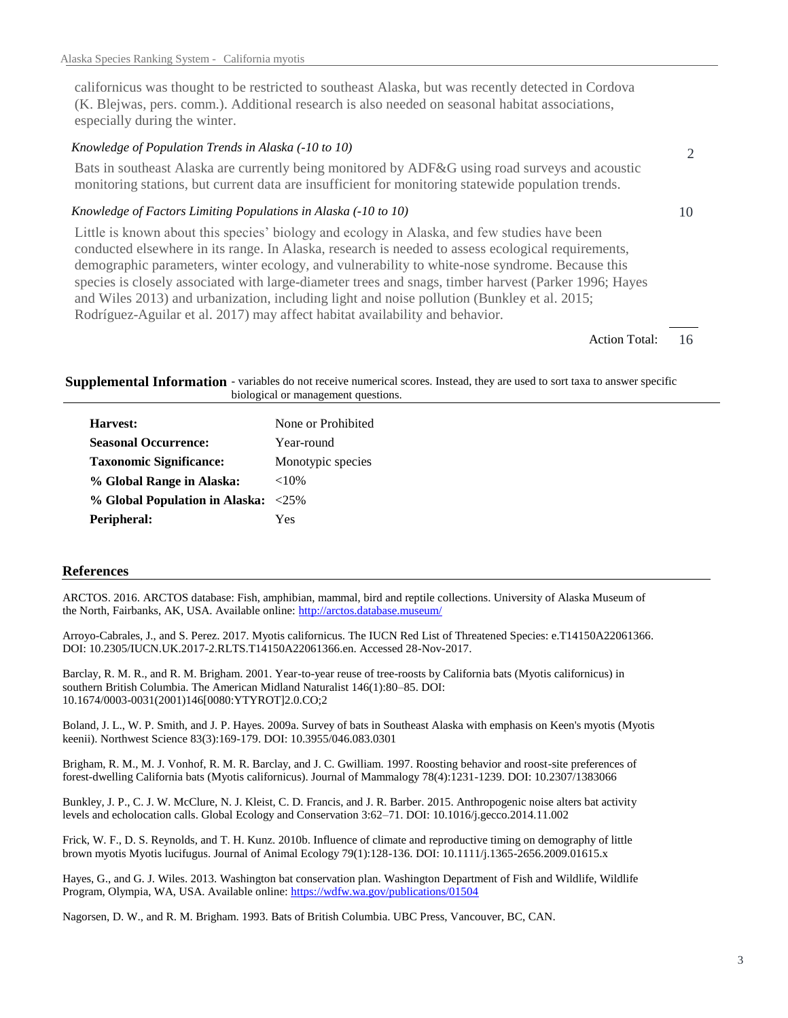californicus was thought to be restricted to southeast Alaska, but was recently detected in Cordova (K. Blejwas, pers. comm.). Additional research is also needed on seasonal habitat associations, especially during the winter.

# *Knowledge of Population Trends in Alaska (-10 to 10)*

Bats in southeast Alaska are currently being monitored by ADF&G using road surveys and acoustic monitoring stations, but current data are insufficient for monitoring statewide population trends.

#### *Knowledge of Factors Limiting Populations in Alaska (-10 to 10)*

Little is known about this species' biology and ecology in Alaska, and few studies have been conducted elsewhere in its range. In Alaska, research is needed to assess ecological requirements, demographic parameters, winter ecology, and vulnerability to white-nose syndrome. Because this species is closely associated with large-diameter trees and snags, timber harvest (Parker 1996; Hayes and Wiles 2013) and urbanization, including light and noise pollution (Bunkley et al. 2015; Rodríguez-Aguilar et al. 2017) may affect habitat availability and behavior.

> 16 Action Total:

10

2

Supplemental Information - variables do not receive numerical scores. Instead, they are used to sort taxa to answer specific biological or management questions.

| Harvest:                       | None or Prohibited |
|--------------------------------|--------------------|
| <b>Seasonal Occurrence:</b>    | Year-round         |
| <b>Taxonomic Significance:</b> | Monotypic species  |
| % Global Range in Alaska:      | ${<}10\%$          |
| % Global Population in Alaska: | $<25\%$            |
| Peripheral:                    | Yes                |

#### **References**

ARCTOS. 2016. ARCTOS database: Fish, amphibian, mammal, bird and reptile collections. University of Alaska Museum of the North, Fairbanks, AK, USA. Available online: http://arctos.database.museum/

Arroyo-Cabrales, J., and S. Perez. 2017. Myotis californicus. The IUCN Red List of Threatened Species: e.T14150A22061366. DOI: 10.2305/IUCN.UK.2017-2.RLTS.T14150A22061366.en. Accessed 28-Nov-2017.

Barclay, R. M. R., and R. M. Brigham. 2001. Year-to-year reuse of tree-roosts by California bats (Myotis californicus) in southern British Columbia. The American Midland Naturalist 146(1):80–85. DOI: 10.1674/0003-0031(2001)146[0080:YTYROT]2.0.CO;2

Boland, J. L., W. P. Smith, and J. P. Hayes. 2009a. Survey of bats in Southeast Alaska with emphasis on Keen's myotis (Myotis keenii). Northwest Science 83(3):169-179. DOI: 10.3955/046.083.0301

Brigham, R. M., M. J. Vonhof, R. M. R. Barclay, and J. C. Gwilliam. 1997. Roosting behavior and roost-site preferences of forest-dwelling California bats (Myotis californicus). Journal of Mammalogy 78(4):1231-1239. DOI: 10.2307/1383066

Bunkley, J. P., C. J. W. McClure, N. J. Kleist, C. D. Francis, and J. R. Barber. 2015. Anthropogenic noise alters bat activity levels and echolocation calls. Global Ecology and Conservation 3:62–71. DOI: 10.1016/j.gecco.2014.11.002

Frick, W. F., D. S. Reynolds, and T. H. Kunz. 2010b. Influence of climate and reproductive timing on demography of little brown myotis Myotis lucifugus. Journal of Animal Ecology 79(1):128-136. DOI: 10.1111/j.1365-2656.2009.01615.x

Hayes, G., and G. J. Wiles. 2013. Washington bat conservation plan. Washington Department of Fish and Wildlife, Wildlife Program, Olympia, WA, USA. Available online: https://wdfw.wa.gov/publications/01504

Nagorsen, D. W., and R. M. Brigham. 1993. Bats of British Columbia. UBC Press, Vancouver, BC, CAN.